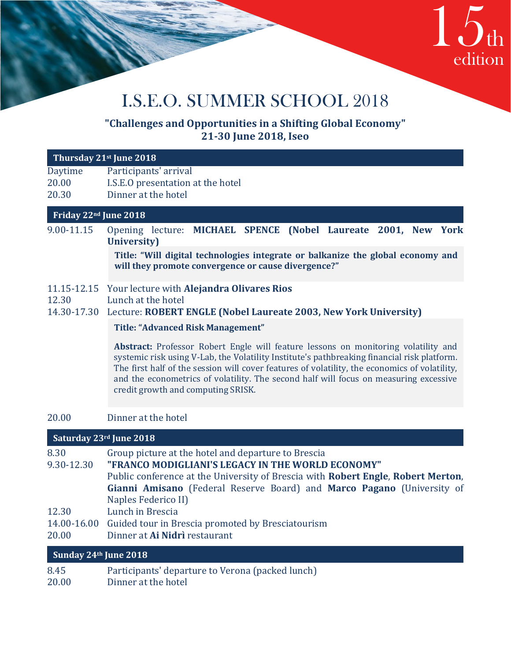

# I.S.E.O. SUMMER SCHOOL 2018

**I.S.E.O**

# **"Challenges and Opportunities in a Shifting Global Economy" 21-30 June 2018, Iseo**

| Thursday 21st June 2018   |                                                                                                                                                                                                                                                                                                                                                                                                                   |  |
|---------------------------|-------------------------------------------------------------------------------------------------------------------------------------------------------------------------------------------------------------------------------------------------------------------------------------------------------------------------------------------------------------------------------------------------------------------|--|
| Daytime<br>20.00<br>20.30 | Participants' arrival<br>I.S.E.O presentation at the hotel<br>Dinner at the hotel                                                                                                                                                                                                                                                                                                                                 |  |
| Friday 22nd June 2018     |                                                                                                                                                                                                                                                                                                                                                                                                                   |  |
| 9.00-11.15                | Opening lecture: MICHAEL SPENCE (Nobel Laureate 2001, New York<br>University)                                                                                                                                                                                                                                                                                                                                     |  |
|                           | Title: "Will digital technologies integrate or balkanize the global economy and<br>will they promote convergence or cause divergence?"                                                                                                                                                                                                                                                                            |  |
| 11.15-12.15<br>12.30      | Your lecture with Alejandra Olivares Rios<br>Lunch at the hotel<br>14.30-17.30 Lecture: ROBERT ENGLE (Nobel Laureate 2003, New York University)                                                                                                                                                                                                                                                                   |  |
|                           | <b>Title: "Advanced Risk Management"</b>                                                                                                                                                                                                                                                                                                                                                                          |  |
|                           | Abstract: Professor Robert Engle will feature lessons on monitoring volatility and<br>systemic risk using V-Lab, the Volatility Institute's pathbreaking financial risk platform.<br>The first half of the session will cover features of volatility, the economics of volatility,<br>and the econometrics of volatility. The second half will focus on measuring excessive<br>credit growth and computing SRISK. |  |
| 20.00                     | Dinner at the hotel                                                                                                                                                                                                                                                                                                                                                                                               |  |
|                           | Saturday 23rd June 2018                                                                                                                                                                                                                                                                                                                                                                                           |  |
| 8.30<br>9.30-12.30        | Group picture at the hotel and departure to Brescia<br>"FRANCO MODIGLIANI'S LEGACY IN THE WORLD ECONOMY"<br>Public conference at the University of Brescia with Robert Engle, Robert Merton,<br>Gianni Amisano (Federal Reserve Board) and Marco Pagano (University of<br>Naples Federico II)                                                                                                                     |  |
| 12.30<br>20.00            | Lunch in Brescia<br>14.00-16.00 Guided tour in Brescia promoted by Bresciatourism<br>Dinner at Ai Nidrì restaurant                                                                                                                                                                                                                                                                                                |  |
| Sunday 24th June 2018     |                                                                                                                                                                                                                                                                                                                                                                                                                   |  |
| 8.45<br>20.00             | Participants' departure to Verona (packed lunch)<br>Dinner at the hotel                                                                                                                                                                                                                                                                                                                                           |  |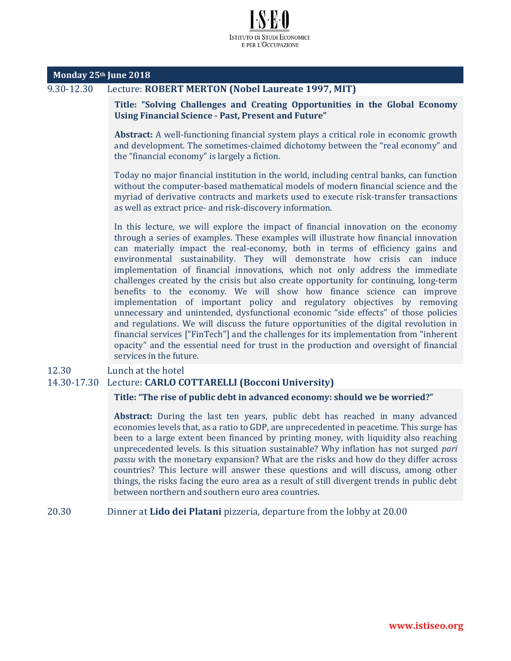#### **Monday 25th June 2018**

# 9.30-12.30 Lecture: **ROBERT MERTON (Nobel Laureate 1997, MIT)**

**Title: "Solving Challenges and Creating Opportunities in the Global Economy Using Financial Science - Past, Present and Future"**

**Abstract:** A well-functioning financial system plays a critical role in economic growth and development. The sometimes-claimed dichotomy between the "real economy" and the "financial economy" is largely a fiction.

Today no major financial institution in the world, including central banks, can function without the computer-based mathematical models of modern financial science and the myriad of derivative contracts and markets used to execute risk-transfer transactions as well as extract price- and risk-discovery information.

In this lecture, we will explore the impact of financial innovation on the economy through a series of examples. These examples will illustrate how financial innovation can materially impact the real-economy, both in terms of efficiency gains and environmental sustainability. They will demonstrate how crisis can induce implementation of financial innovations, which not only address the immediate challenges created by the crisis but also create opportunity for continuing, long-term benefits to the economy. We will show how finance science can improve implementation of important policy and regulatory objectives by removing unnecessary and unintended, dysfunctional economic "side effects" of those policies and regulations. We will discuss the future opportunities of the digital revolution in financial services ["FinTech"] and the challenges for its implementation from "inherent opacity" and the essential need for trust in the production and oversight of financial services in the future.

#### 12.30 Lunch at the hotel

#### 14.30-17.30 Lecture: **CARLO COTTARELLI (Bocconi University)**

#### **Title: "The rise of public debt in advanced economy: should we be worried?"**

**Abstract:** During the last ten years, public debt has reached in many advanced economies levels that, as a ratio to GDP, are unprecedented in peacetime. This surge has been to a large extent been financed by printing money, with liquidity also reaching unprecedented levels. Is this situation sustainable? Why inflation has not surged *pari passu* with the monetary expansion? What are the risks and how do they differ across countries? This lecture will answer these questions and will discuss, among other things, the risks facing the euro area as a result of still divergent trends in public debt between northern and southern euro area countries.

#### 20.30 Dinner at **Lido dei Platani** pizzeria, departure from the lobby at 20.00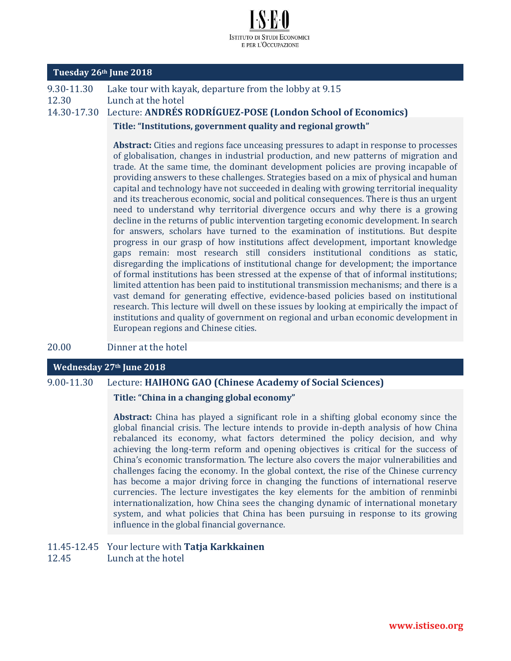

#### **Tuesday 26th June 2018**

9.30-11.30 Lake tour with kayak, departure from the lobby at 9.15 12.30 Lunch at the hotel 14.30-17.30 Lecture: **ANDRÉS RODRÍGUEZ-POSE (London School of Economics)**

**Title: "Institutions, government quality and regional growth"**

**Abstract:** Cities and regions face unceasing pressures to adapt in response to processes of globalisation, changes in industrial production, and new patterns of migration and trade. At the same time, the dominant development policies are proving incapable of providing answers to these challenges. Strategies based on a mix of physical and human capital and technology have not succeeded in dealing with growing territorial inequality and its treacherous economic, social and political consequences. There is thus an urgent need to understand why territorial divergence occurs and why there is a growing decline in the returns of public intervention targeting economic development. In search for answers, scholars have turned to the examination of institutions. But despite progress in our grasp of how institutions affect development, important knowledge gaps remain: most research still considers institutional conditions as static, disregarding the implications of institutional change for development; the importance of formal institutions has been stressed at the expense of that of informal institutions; limited attention has been paid to institutional transmission mechanisms; and there is a vast demand for generating effective, evidence-based policies based on institutional research. This lecture will dwell on these issues by looking at empirically the impact of institutions and quality of government on regional and urban economic development in European regions and Chinese cities.

20.00 Dinner at the hotel

## **Wednesday 27th June 2018**

9.00-11.30 Lecture: **HAIHONG GAO (Chinese Academy of Social Sciences)**

**Title: "China in a changing global economy"**

**Abstract:** China has played a significant role in a shifting global economy since the global financial crisis. The lecture intends to provide in-depth analysis of how China rebalanced its economy, what factors determined the policy decision, and why achieving the long-term reform and opening objectives is critical for the success of China's economic transformation. The lecture also covers the major vulnerabilities and challenges facing the economy. In the global context, the rise of the Chinese currency has become a major driving force in changing the functions of international reserve currencies. The lecture investigates the key elements for the ambition of renminbi internationalization, how China sees the changing dynamic of international monetary system, and what policies that China has been pursuing in response to its growing influence in the global financial governance.

#### 11.45-12.45 Your lecture with **Tatja Karkkainen**

12.45 Lunch at the hotel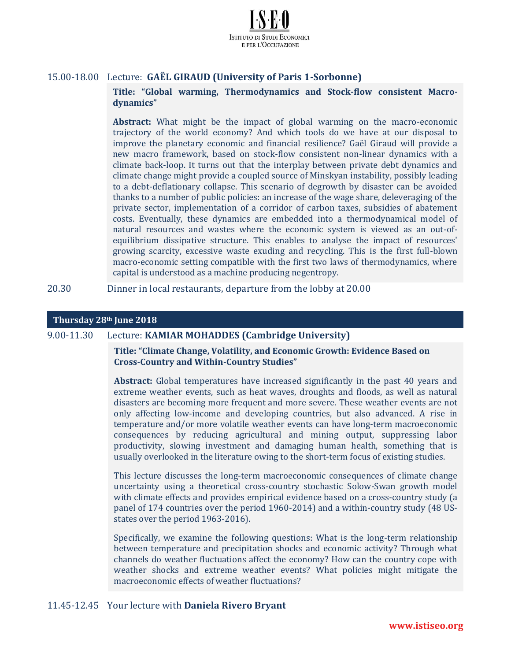

# 15.00-18.00 Lecture: **GAËL GIRAUD (University of Paris 1-Sorbonne)**

**Title: "Global warming, Thermodynamics and Stock-flow consistent Macrodynamics"**

**Abstract:** What might be the impact of global warming on the macro-economic trajectory of the world economy? And which tools do we have at our disposal to improve the planetary economic and financial resilience? Gaël Giraud will provide a new macro framework, based on stock-flow consistent non-linear dynamics with a climate back-loop. It turns out that the interplay between private debt dynamics and climate change might provide a coupled source of Minskyan instability, possibly leading to a debt-deflationary collapse. This scenario of degrowth by disaster can be avoided thanks to a number of public policies: an increase of the wage share, deleveraging of the private sector, implementation of a corridor of carbon taxes, subsidies of abatement costs. Eventually, these dynamics are embedded into a thermodynamical model of natural resources and wastes where the economic system is viewed as an out-ofequilibrium dissipative structure. This enables to analyse the impact of resources' growing scarcity, excessive waste exuding and recycling. This is the first full-blown macro-economic setting compatible with the first two laws of thermodynamics, where capital is understood as a machine producing negentropy.

20.30 Dinner in local restaurants, departure from the lobby at 20.00

#### **Thursday 28th June 2018**

## 9.00-11.30 Lecture: **KAMIAR MOHADDES (Cambridge University)**

**Title: "Climate Change, Volatility, and Economic Growth: Evidence Based on Cross-Country and Within-Country Studies"**

**Abstract:** Global temperatures have increased significantly in the past 40 years and extreme weather events, such as heat waves, droughts and floods, as well as natural disasters are becoming more frequent and more severe. These weather events are not only affecting low-income and developing countries, but also advanced. A rise in temperature and/or more volatile weather events can have long-term macroeconomic consequences by reducing agricultural and mining output, suppressing labor productivity, slowing investment and damaging human health, something that is usually overlooked in the literature owing to the short-term focus of existing studies.

This lecture discusses the long-term macroeconomic consequences of climate change uncertainty using a theoretical cross-country stochastic Solow-Swan growth model with climate effects and provides empirical evidence based on a cross-country study (a panel of 174 countries over the period 1960-2014) and a within-country study (48 USstates over the period 1963-2016).

Specifically, we examine the following questions: What is the long-term relationship between temperature and precipitation shocks and economic activity? Through what channels do weather fluctuations affect the economy? How can the country cope with weather shocks and extreme weather events? What policies might mitigate the macroeconomic effects of weather fluctuations?

#### 11.45-12.45 Your lecture with **Daniela Rivero Bryant**